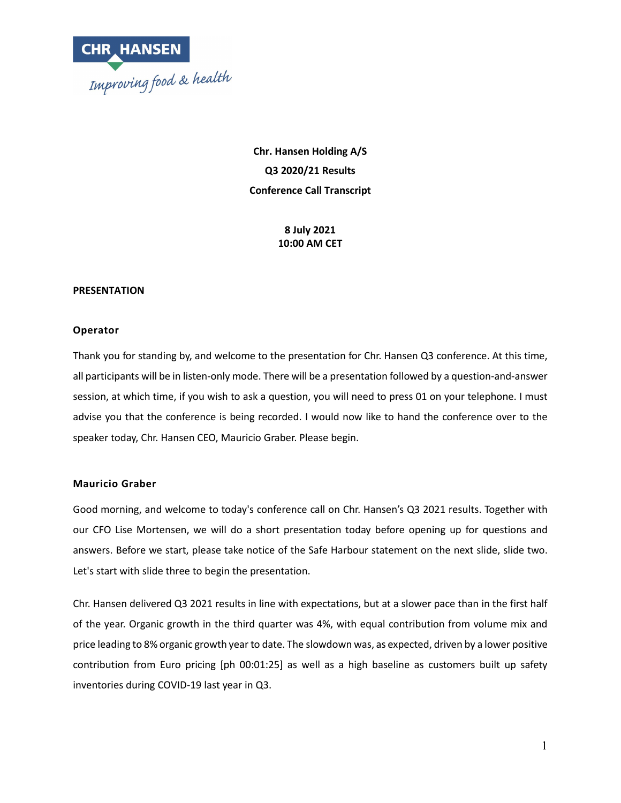

**Chr. Hansen Holding A/S Q3 2020/21 Results Conference Call Transcript**

> **8 July 2021 10:00 AM CET**

#### **PRESENTATION**

#### **Operator**

Thank you for standing by, and welcome to the presentation for Chr. Hansen Q3 conference. At this time, all participants will be in listen-only mode. There will be a presentation followed by a question-and-answer session, at which time, if you wish to ask a question, you will need to press 01 on your telephone. I must advise you that the conference is being recorded. I would now like to hand the conference over to the speaker today, Chr. Hansen CEO, Mauricio Graber. Please begin.

#### **Mauricio Graber**

Good morning, and welcome to today's conference call on Chr. Hansen's Q3 2021 results. Together with our CFO Lise Mortensen, we will do a short presentation today before opening up for questions and answers. Before we start, please take notice of the Safe Harbour statement on the next slide, slide two. Let's start with slide three to begin the presentation.

Chr. Hansen delivered Q3 2021 results in line with expectations, but at a slower pace than in the first half of the year. Organic growth in the third quarter was 4%, with equal contribution from volume mix and price leading to 8% organic growth year to date. The slowdown was, as expected, driven by a lower positive contribution from Euro pricing [ph 00:01:25] as well as a high baseline as customers built up safety inventories during COVID-19 last year in Q3.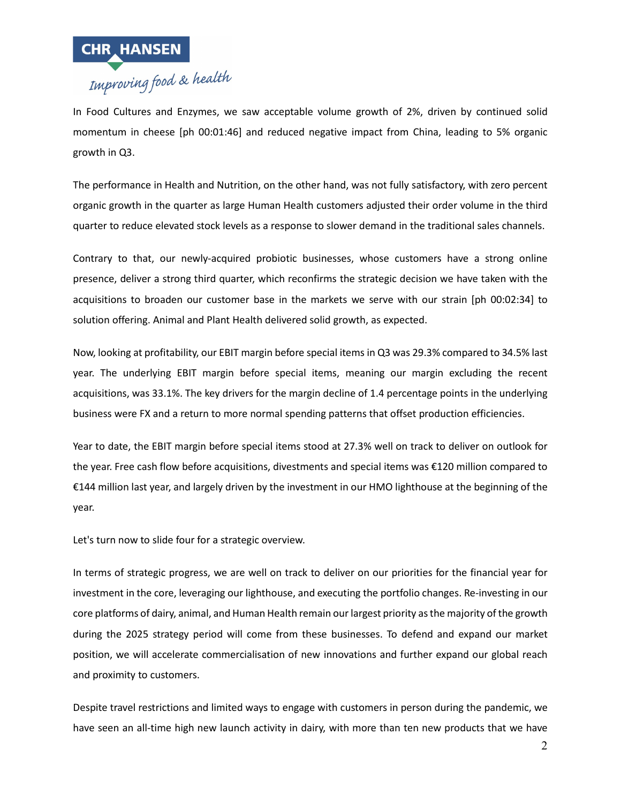

In Food Cultures and Enzymes, we saw acceptable volume growth of 2%, driven by continued solid momentum in cheese [ph 00:01:46] and reduced negative impact from China, leading to 5% organic growth in Q3.

The performance in Health and Nutrition, on the other hand, was not fully satisfactory, with zero percent organic growth in the quarter as large Human Health customers adjusted their order volume in the third quarter to reduce elevated stock levels as a response to slower demand in the traditional sales channels.

Contrary to that, our newly-acquired probiotic businesses, whose customers have a strong online presence, deliver a strong third quarter, which reconfirms the strategic decision we have taken with the acquisitions to broaden our customer base in the markets we serve with our strain [ph 00:02:34] to solution offering. Animal and Plant Health delivered solid growth, as expected.

Now, looking at profitability, our EBIT margin before special items in Q3 was 29.3% compared to 34.5% last year. The underlying EBIT margin before special items, meaning our margin excluding the recent acquisitions, was 33.1%. The key drivers for the margin decline of 1.4 percentage points in the underlying business were FX and a return to more normal spending patterns that offset production efficiencies.

Year to date, the EBIT margin before special items stood at 27.3% well on track to deliver on outlook for the year. Free cash flow before acquisitions, divestments and special items was €120 million compared to €144 million last year, and largely driven by the investment in our HMO lighthouse at the beginning of the year.

Let's turn now to slide four for a strategic overview.

In terms of strategic progress, we are well on track to deliver on our priorities for the financial year for investment in the core, leveraging our lighthouse, and executing the portfolio changes. Re-investing in our core platforms of dairy, animal, and Human Health remain our largest priority as the majority of the growth during the 2025 strategy period will come from these businesses. To defend and expand our market position, we will accelerate commercialisation of new innovations and further expand our global reach and proximity to customers.

Despite travel restrictions and limited ways to engage with customers in person during the pandemic, we have seen an all-time high new launch activity in dairy, with more than ten new products that we have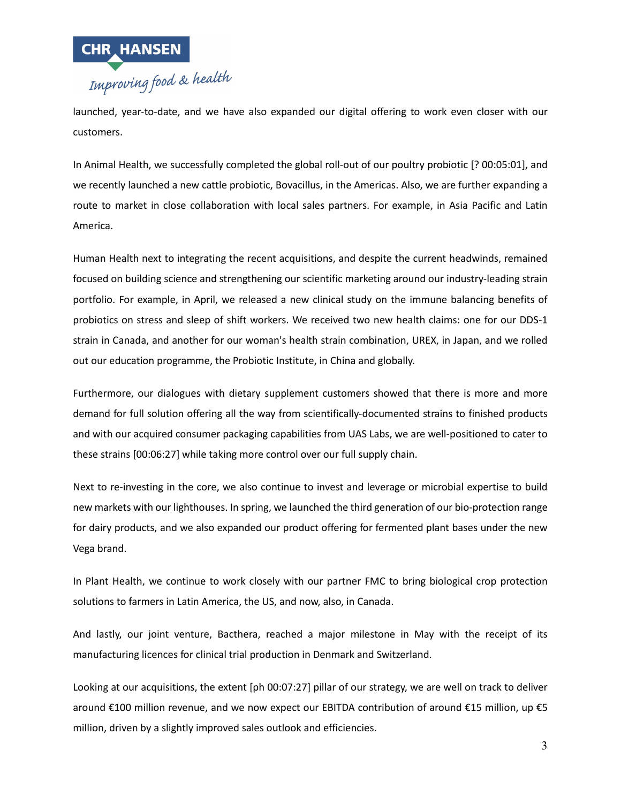

launched, year-to-date, and we have also expanded our digital offering to work even closer with our customers.

In Animal Health, we successfully completed the global roll-out of our poultry probiotic [? 00:05:01], and we recently launched a new cattle probiotic, Bovacillus, in the Americas. Also, we are further expanding a route to market in close collaboration with local sales partners. For example, in Asia Pacific and Latin America.

Human Health next to integrating the recent acquisitions, and despite the current headwinds, remained focused on building science and strengthening our scientific marketing around our industry-leading strain portfolio. For example, in April, we released a new clinical study on the immune balancing benefits of probiotics on stress and sleep of shift workers. We received two new health claims: one for our DDS-1 strain in Canada, and another for our woman's health strain combination, UREX, in Japan, and we rolled out our education programme, the Probiotic Institute, in China and globally.

Furthermore, our dialogues with dietary supplement customers showed that there is more and more demand for full solution offering all the way from scientifically-documented strains to finished products and with our acquired consumer packaging capabilities from UAS Labs, we are well-positioned to cater to these strains [00:06:27] while taking more control over our full supply chain.

Next to re-investing in the core, we also continue to invest and leverage or microbial expertise to build new markets with our lighthouses. In spring, we launched the third generation of our bio-protection range for dairy products, and we also expanded our product offering for fermented plant bases under the new Vega brand.

In Plant Health, we continue to work closely with our partner FMC to bring biological crop protection solutions to farmers in Latin America, the US, and now, also, in Canada.

And lastly, our joint venture, Bacthera, reached a major milestone in May with the receipt of its manufacturing licences for clinical trial production in Denmark and Switzerland.

Looking at our acquisitions, the extent [ph 00:07:27] pillar of our strategy, we are well on track to deliver around €100 million revenue, and we now expect our EBITDA contribution of around €15 million, up €5 million, driven by a slightly improved sales outlook and efficiencies.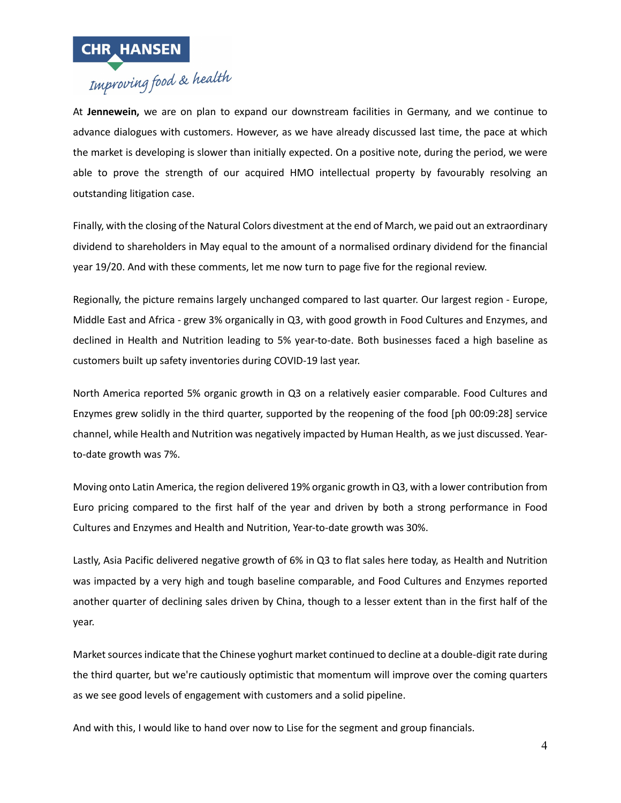

At **Jennewein,** we are on plan to expand our downstream facilities in Germany, and we continue to advance dialogues with customers. However, as we have already discussed last time, the pace at which the market is developing is slower than initially expected. On a positive note, during the period, we were able to prove the strength of our acquired HMO intellectual property by favourably resolving an outstanding litigation case.

Finally, with the closing of the Natural Colors divestment at the end of March, we paid out an extraordinary dividend to shareholders in May equal to the amount of a normalised ordinary dividend for the financial year 19/20. And with these comments, let me now turn to page five for the regional review.

Regionally, the picture remains largely unchanged compared to last quarter. Our largest region - Europe, Middle East and Africa - grew 3% organically in Q3, with good growth in Food Cultures and Enzymes, and declined in Health and Nutrition leading to 5% year-to-date. Both businesses faced a high baseline as customers built up safety inventories during COVID-19 last year.

North America reported 5% organic growth in Q3 on a relatively easier comparable. Food Cultures and Enzymes grew solidly in the third quarter, supported by the reopening of the food [ph 00:09:28] service channel, while Health and Nutrition was negatively impacted by Human Health, as we just discussed. Yearto-date growth was 7%.

Moving onto Latin America, the region delivered 19% organic growth in Q3, with a lower contribution from Euro pricing compared to the first half of the year and driven by both a strong performance in Food Cultures and Enzymes and Health and Nutrition, Year-to-date growth was 30%.

Lastly, Asia Pacific delivered negative growth of 6% in Q3 to flat sales here today, as Health and Nutrition was impacted by a very high and tough baseline comparable, and Food Cultures and Enzymes reported another quarter of declining sales driven by China, though to a lesser extent than in the first half of the year.

Market sources indicate that the Chinese yoghurt market continued to decline at a double-digit rate during the third quarter, but we're cautiously optimistic that momentum will improve over the coming quarters as we see good levels of engagement with customers and a solid pipeline.

And with this, I would like to hand over now to Lise for the segment and group financials.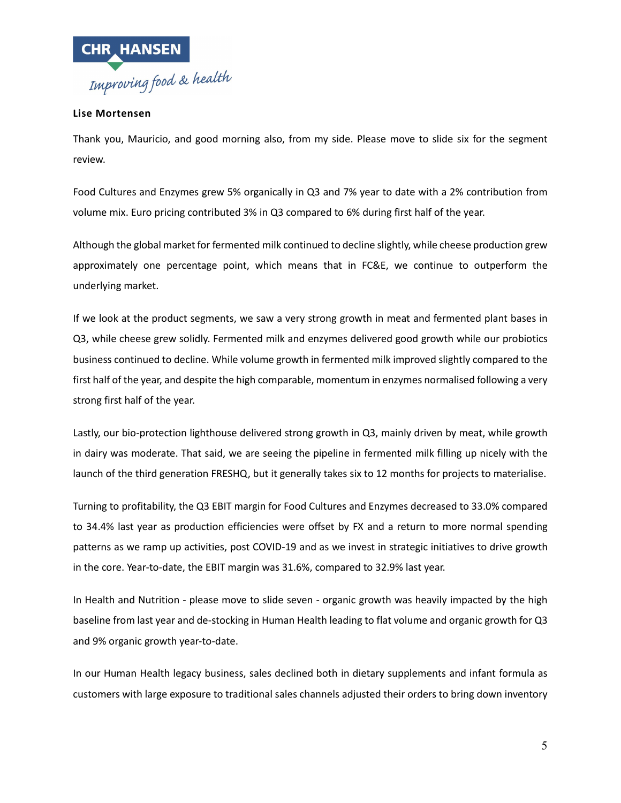

# **Lise Mortensen**

Thank you, Mauricio, and good morning also, from my side. Please move to slide six for the segment review.

Food Cultures and Enzymes grew 5% organically in Q3 and 7% year to date with a 2% contribution from volume mix. Euro pricing contributed 3% in Q3 compared to 6% during first half of the year.

Although the global market for fermented milk continued to decline slightly, while cheese production grew approximately one percentage point, which means that in FC&E, we continue to outperform the underlying market.

If we look at the product segments, we saw a very strong growth in meat and fermented plant bases in Q3, while cheese grew solidly. Fermented milk and enzymes delivered good growth while our probiotics business continued to decline. While volume growth in fermented milk improved slightly compared to the first half of the year, and despite the high comparable, momentum in enzymes normalised following a very strong first half of the year.

Lastly, our bio-protection lighthouse delivered strong growth in Q3, mainly driven by meat, while growth in dairy was moderate. That said, we are seeing the pipeline in fermented milk filling up nicely with the launch of the third generation FRESHQ, but it generally takes six to 12 months for projects to materialise.

Turning to profitability, the Q3 EBIT margin for Food Cultures and Enzymes decreased to 33.0% compared to 34.4% last year as production efficiencies were offset by FX and a return to more normal spending patterns as we ramp up activities, post COVID-19 and as we invest in strategic initiatives to drive growth in the core. Year-to-date, the EBIT margin was 31.6%, compared to 32.9% last year.

In Health and Nutrition - please move to slide seven - organic growth was heavily impacted by the high baseline from last year and de-stocking in Human Health leading to flat volume and organic growth for Q3 and 9% organic growth year-to-date.

In our Human Health legacy business, sales declined both in dietary supplements and infant formula as customers with large exposure to traditional sales channels adjusted their orders to bring down inventory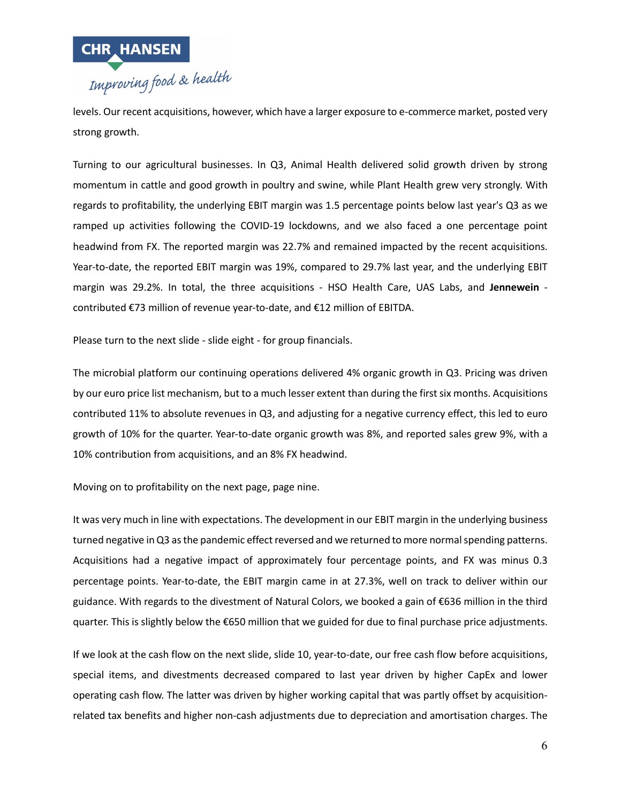

levels. Our recent acquisitions, however, which have a larger exposure to e-commerce market, posted very strong growth.

Turning to our agricultural businesses. In Q3, Animal Health delivered solid growth driven by strong momentum in cattle and good growth in poultry and swine, while Plant Health grew very strongly. With regards to profitability, the underlying EBIT margin was 1.5 percentage points below last year's Q3 as we ramped up activities following the COVID-19 lockdowns, and we also faced a one percentage point headwind from FX. The reported margin was 22.7% and remained impacted by the recent acquisitions. Year-to-date, the reported EBIT margin was 19%, compared to 29.7% last year, and the underlying EBIT margin was 29.2%. In total, the three acquisitions - HSO Health Care, UAS Labs, and **Jennewein** contributed €73 million of revenue year-to-date, and €12 million of EBITDA.

Please turn to the next slide - slide eight - for group financials.

The microbial platform our continuing operations delivered 4% organic growth in Q3. Pricing was driven by our euro price list mechanism, but to a much lesser extent than during the first six months. Acquisitions contributed 11% to absolute revenues in Q3, and adjusting for a negative currency effect, this led to euro growth of 10% for the quarter. Year-to-date organic growth was 8%, and reported sales grew 9%, with a 10% contribution from acquisitions, and an 8% FX headwind.

Moving on to profitability on the next page, page nine.

It was very much in line with expectations. The development in our EBIT margin in the underlying business turned negative in Q3 as the pandemic effect reversed and we returned to more normal spending patterns. Acquisitions had a negative impact of approximately four percentage points, and FX was minus 0.3 percentage points. Year-to-date, the EBIT margin came in at 27.3%, well on track to deliver within our guidance. With regards to the divestment of Natural Colors, we booked a gain of €636 million in the third quarter. This is slightly below the €650 million that we guided for due to final purchase price adjustments.

If we look at the cash flow on the next slide, slide 10, year-to-date, our free cash flow before acquisitions, special items, and divestments decreased compared to last year driven by higher CapEx and lower operating cash flow. The latter was driven by higher working capital that was partly offset by acquisitionrelated tax benefits and higher non-cash adjustments due to depreciation and amortisation charges. The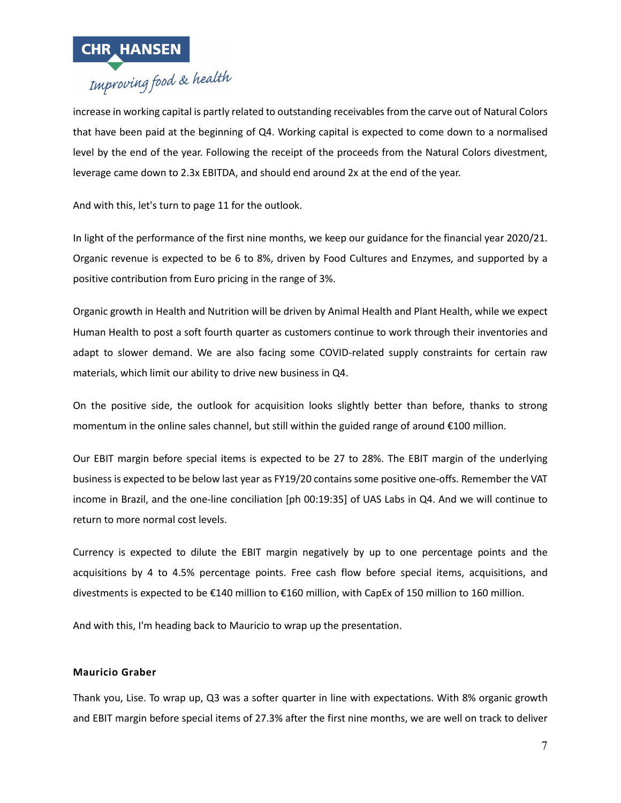

# increase in working capital is partly related to outstanding receivables from the carve out of Natural Colors that have been paid at the beginning of Q4. Working capital is expected to come down to a normalised level by the end of the year. Following the receipt of the proceeds from the Natural Colors divestment, leverage came down to 2.3x EBITDA, and should end around 2x at the end of the year.

And with this, let's turn to page 11 for the outlook.

In light of the performance of the first nine months, we keep our guidance for the financial year 2020/21. Organic revenue is expected to be 6 to 8%, driven by Food Cultures and Enzymes, and supported by a positive contribution from Euro pricing in the range of 3%.

Organic growth in Health and Nutrition will be driven by Animal Health and Plant Health, while we expect Human Health to post a soft fourth quarter as customers continue to work through their inventories and adapt to slower demand. We are also facing some COVID-related supply constraints for certain raw materials, which limit our ability to drive new business in Q4.

On the positive side, the outlook for acquisition looks slightly better than before, thanks to strong momentum in the online sales channel, but still within the guided range of around €100 million.

Our EBIT margin before special items is expected to be 27 to 28%. The EBIT margin of the underlying business is expected to be below last year as FY19/20 contains some positive one-offs. Remember the VAT income in Brazil, and the one-line conciliation [ph 00:19:35] of UAS Labs in Q4. And we will continue to return to more normal cost levels.

Currency is expected to dilute the EBIT margin negatively by up to one percentage points and the acquisitions by 4 to 4.5% percentage points. Free cash flow before special items, acquisitions, and divestments is expected to be €140 million to €160 million, with CapEx of 150 million to 160 million.

And with this, I'm heading back to Mauricio to wrap up the presentation.

# **Mauricio Graber**

Thank you, Lise. To wrap up, Q3 was a softer quarter in line with expectations. With 8% organic growth and EBIT margin before special items of 27.3% after the first nine months, we are well on track to deliver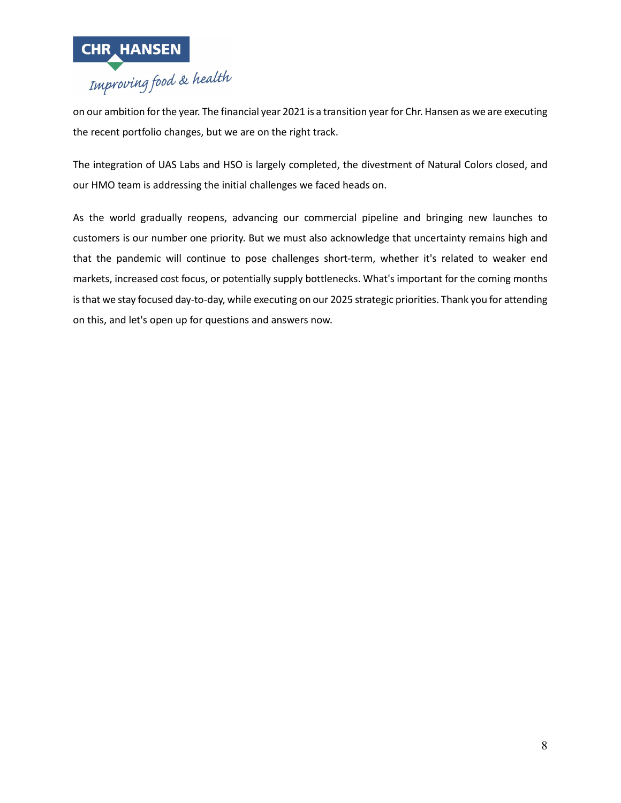

on our ambition for the year. The financial year 2021 is a transition year for Chr. Hansen as we are executing the recent portfolio changes, but we are on the right track.

The integration of UAS Labs and HSO is largely completed, the divestment of Natural Colors closed, and our HMO team is addressing the initial challenges we faced heads on.

As the world gradually reopens, advancing our commercial pipeline and bringing new launches to customers is our number one priority. But we must also acknowledge that uncertainty remains high and that the pandemic will continue to pose challenges short-term, whether it's related to weaker end markets, increased cost focus, or potentially supply bottlenecks. What's important for the coming months is that we stay focused day-to-day, while executing on our 2025 strategic priorities. Thank you for attending on this, and let's open up for questions and answers now.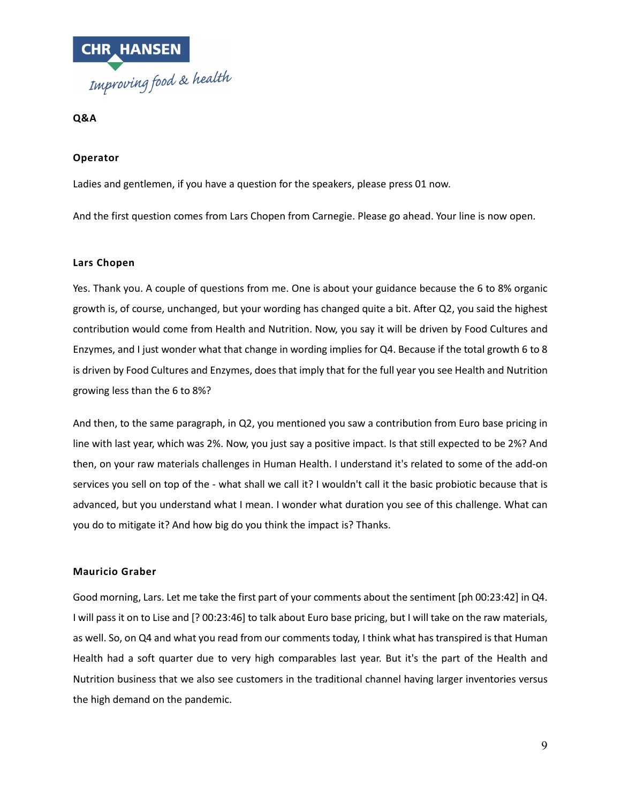

**Q&A**

# **Operator**

Ladies and gentlemen, if you have a question for the speakers, please press 01 now.

And the first question comes from Lars Chopen from Carnegie. Please go ahead. Your line is now open.

#### **Lars Chopen**

Yes. Thank you. A couple of questions from me. One is about your guidance because the 6 to 8% organic growth is, of course, unchanged, but your wording has changed quite a bit. After Q2, you said the highest contribution would come from Health and Nutrition. Now, you say it will be driven by Food Cultures and Enzymes, and I just wonder what that change in wording implies for Q4. Because if the total growth 6 to 8 is driven by Food Cultures and Enzymes, does that imply that for the full year you see Health and Nutrition growing less than the 6 to 8%?

And then, to the same paragraph, in Q2, you mentioned you saw a contribution from Euro base pricing in line with last year, which was 2%. Now, you just say a positive impact. Is that still expected to be 2%? And then, on your raw materials challenges in Human Health. I understand it's related to some of the add-on services you sell on top of the - what shall we call it? I wouldn't call it the basic probiotic because that is advanced, but you understand what I mean. I wonder what duration you see of this challenge. What can you do to mitigate it? And how big do you think the impact is? Thanks.

#### **Mauricio Graber**

Good morning, Lars. Let me take the first part of your comments about the sentiment [ph 00:23:42] in Q4. I will pass it on to Lise and [? 00:23:46] to talk about Euro base pricing, but I will take on the raw materials, as well. So, on Q4 and what you read from our comments today, I think what has transpired is that Human Health had a soft quarter due to very high comparables last year. But it's the part of the Health and Nutrition business that we also see customers in the traditional channel having larger inventories versus the high demand on the pandemic.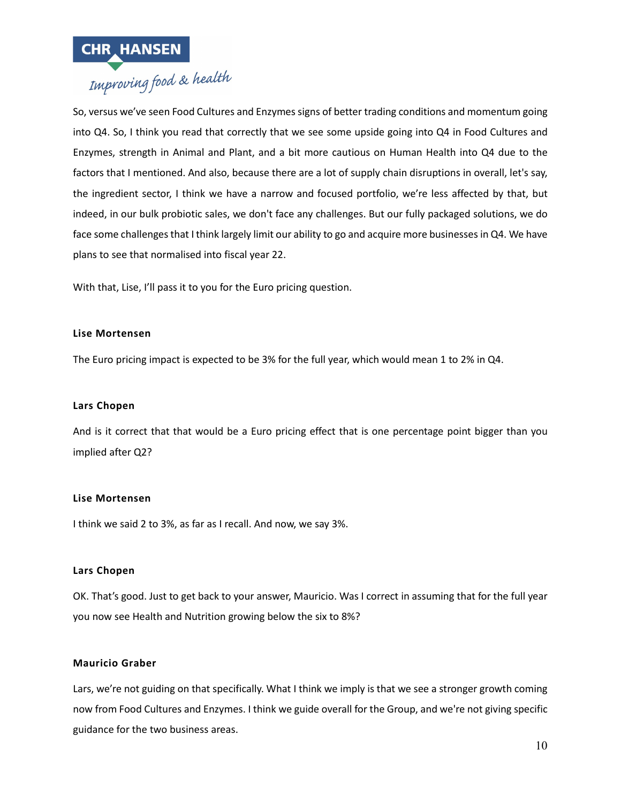

So, versus we've seen Food Cultures and Enzymes signs of better trading conditions and momentum going into Q4. So, I think you read that correctly that we see some upside going into Q4 in Food Cultures and Enzymes, strength in Animal and Plant, and a bit more cautious on Human Health into Q4 due to the factors that I mentioned. And also, because there are a lot of supply chain disruptions in overall, let's say, the ingredient sector, I think we have a narrow and focused portfolio, we're less affected by that, but indeed, in our bulk probiotic sales, we don't face any challenges. But our fully packaged solutions, we do face some challenges that I think largely limit our ability to go and acquire more businesses in Q4. We have plans to see that normalised into fiscal year 22.

With that, Lise, I'll pass it to you for the Euro pricing question.

# **Lise Mortensen**

The Euro pricing impact is expected to be 3% for the full year, which would mean 1 to 2% in Q4.

### **Lars Chopen**

And is it correct that that would be a Euro pricing effect that is one percentage point bigger than you implied after Q2?

# **Lise Mortensen**

I think we said 2 to 3%, as far as I recall. And now, we say 3%.

#### **Lars Chopen**

OK. That's good. Just to get back to your answer, Mauricio. Was I correct in assuming that for the full year you now see Health and Nutrition growing below the six to 8%?

#### **Mauricio Graber**

Lars, we're not guiding on that specifically. What I think we imply is that we see a stronger growth coming now from Food Cultures and Enzymes. I think we guide overall for the Group, and we're not giving specific guidance for the two business areas.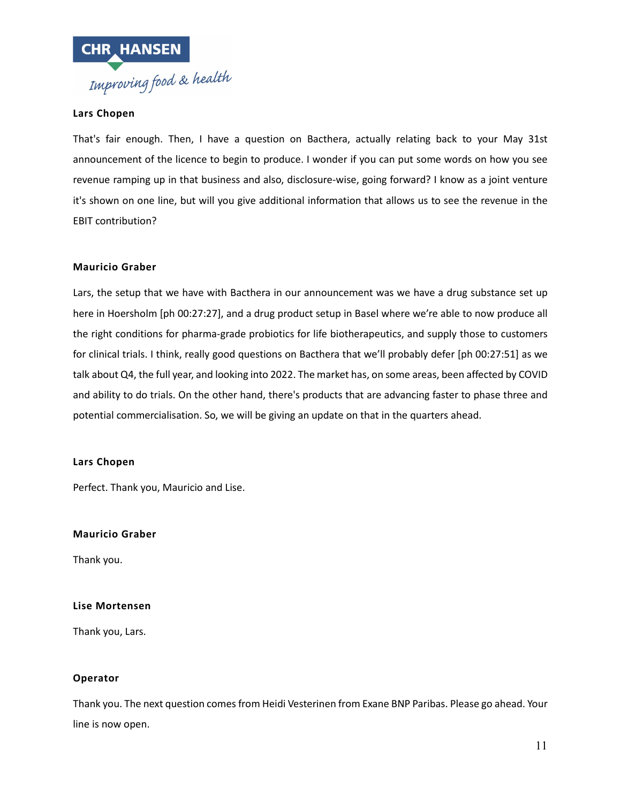

# **Lars Chopen**

That's fair enough. Then, I have a question on Bacthera, actually relating back to your May 31st announcement of the licence to begin to produce. I wonder if you can put some words on how you see revenue ramping up in that business and also, disclosure-wise, going forward? I know as a joint venture it's shown on one line, but will you give additional information that allows us to see the revenue in the EBIT contribution?

# **Mauricio Graber**

Lars, the setup that we have with Bacthera in our announcement was we have a drug substance set up here in Hoersholm [ph 00:27:27], and a drug product setup in Basel where we're able to now produce all the right conditions for pharma-grade probiotics for life biotherapeutics, and supply those to customers for clinical trials. I think, really good questions on Bacthera that we'll probably defer [ph 00:27:51] as we talk about Q4, the full year, and looking into 2022. The market has, on some areas, been affected by COVID and ability to do trials. On the other hand, there's products that are advancing faster to phase three and potential commercialisation. So, we will be giving an update on that in the quarters ahead.

#### **Lars Chopen**

Perfect. Thank you, Mauricio and Lise.

#### **Mauricio Graber**

Thank you.

#### **Lise Mortensen**

Thank you, Lars.

# **Operator**

Thank you. The next question comes from Heidi Vesterinen from Exane BNP Paribas. Please go ahead. Your line is now open.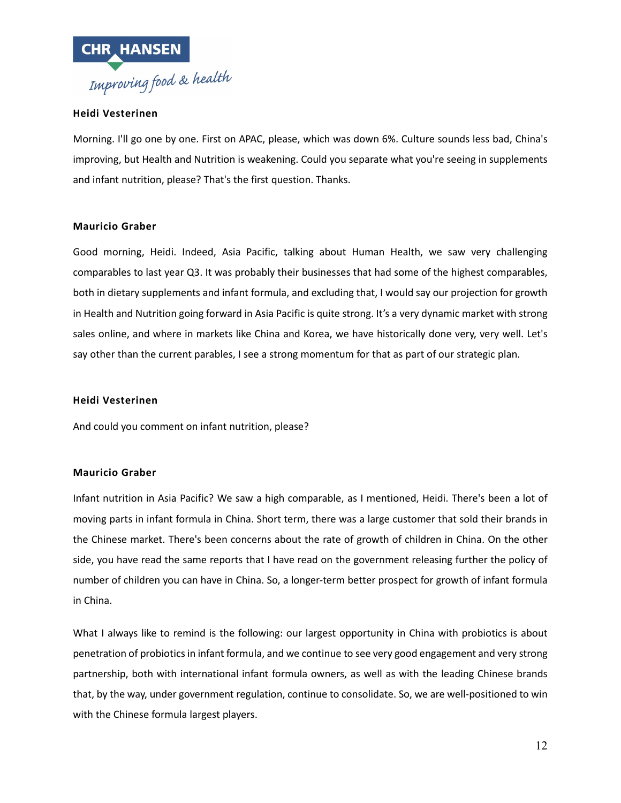

# **Heidi Vesterinen**

Morning. I'll go one by one. First on APAC, please, which was down 6%. Culture sounds less bad, China's improving, but Health and Nutrition is weakening. Could you separate what you're seeing in supplements and infant nutrition, please? That's the first question. Thanks.

# **Mauricio Graber**

Good morning, Heidi. Indeed, Asia Pacific, talking about Human Health, we saw very challenging comparables to last year Q3. It was probably their businesses that had some of the highest comparables, both in dietary supplements and infant formula, and excluding that, I would say our projection for growth in Health and Nutrition going forward in Asia Pacific is quite strong. It's a very dynamic market with strong sales online, and where in markets like China and Korea, we have historically done very, very well. Let's say other than the current parables, I see a strong momentum for that as part of our strategic plan.

### **Heidi Vesterinen**

And could you comment on infant nutrition, please?

#### **Mauricio Graber**

Infant nutrition in Asia Pacific? We saw a high comparable, as I mentioned, Heidi. There's been a lot of moving parts in infant formula in China. Short term, there was a large customer that sold their brands in the Chinese market. There's been concerns about the rate of growth of children in China. On the other side, you have read the same reports that I have read on the government releasing further the policy of number of children you can have in China. So, a longer-term better prospect for growth of infant formula in China.

What I always like to remind is the following: our largest opportunity in China with probiotics is about penetration of probiotics in infant formula, and we continue to see very good engagement and very strong partnership, both with international infant formula owners, as well as with the leading Chinese brands that, by the way, under government regulation, continue to consolidate. So, we are well-positioned to win with the Chinese formula largest players.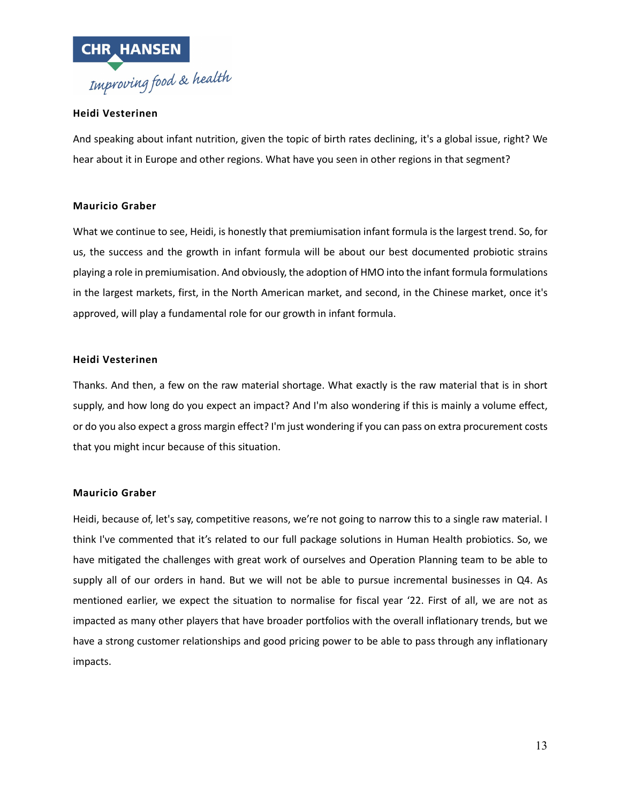

# **Heidi Vesterinen**

And speaking about infant nutrition, given the topic of birth rates declining, it's a global issue, right? We hear about it in Europe and other regions. What have you seen in other regions in that segment?

# **Mauricio Graber**

What we continue to see, Heidi, is honestly that premiumisation infant formula is the largest trend. So, for us, the success and the growth in infant formula will be about our best documented probiotic strains playing a role in premiumisation. And obviously, the adoption of HMO into the infant formula formulations in the largest markets, first, in the North American market, and second, in the Chinese market, once it's approved, will play a fundamental role for our growth in infant formula.

# **Heidi Vesterinen**

Thanks. And then, a few on the raw material shortage. What exactly is the raw material that is in short supply, and how long do you expect an impact? And I'm also wondering if this is mainly a volume effect, or do you also expect a gross margin effect? I'm just wondering if you can pass on extra procurement costs that you might incur because of this situation.

# **Mauricio Graber**

Heidi, because of, let's say, competitive reasons, we're not going to narrow this to a single raw material. I think I've commented that it's related to our full package solutions in Human Health probiotics. So, we have mitigated the challenges with great work of ourselves and Operation Planning team to be able to supply all of our orders in hand. But we will not be able to pursue incremental businesses in Q4. As mentioned earlier, we expect the situation to normalise for fiscal year '22. First of all, we are not as impacted as many other players that have broader portfolios with the overall inflationary trends, but we have a strong customer relationships and good pricing power to be able to pass through any inflationary impacts.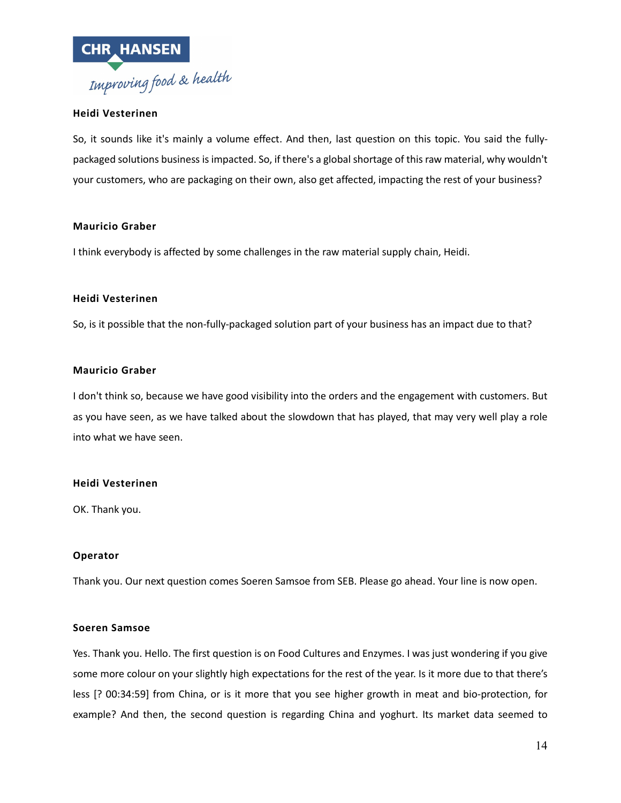

# **Heidi Vesterinen**

So, it sounds like it's mainly a volume effect. And then, last question on this topic. You said the fullypackaged solutions business is impacted. So, if there's a global shortage of this raw material, why wouldn't your customers, who are packaging on their own, also get affected, impacting the rest of your business?

#### **Mauricio Graber**

I think everybody is affected by some challenges in the raw material supply chain, Heidi.

# **Heidi Vesterinen**

So, is it possible that the non-fully-packaged solution part of your business has an impact due to that?

# **Mauricio Graber**

I don't think so, because we have good visibility into the orders and the engagement with customers. But as you have seen, as we have talked about the slowdown that has played, that may very well play a role into what we have seen.

#### **Heidi Vesterinen**

OK. Thank you.

# **Operator**

Thank you. Our next question comes Soeren Samsoe from SEB. Please go ahead. Your line is now open.

#### **Soeren Samsoe**

Yes. Thank you. Hello. The first question is on Food Cultures and Enzymes. I was just wondering if you give some more colour on your slightly high expectations for the rest of the year. Is it more due to that there's less [? 00:34:59] from China, or is it more that you see higher growth in meat and bio-protection, for example? And then, the second question is regarding China and yoghurt. Its market data seemed to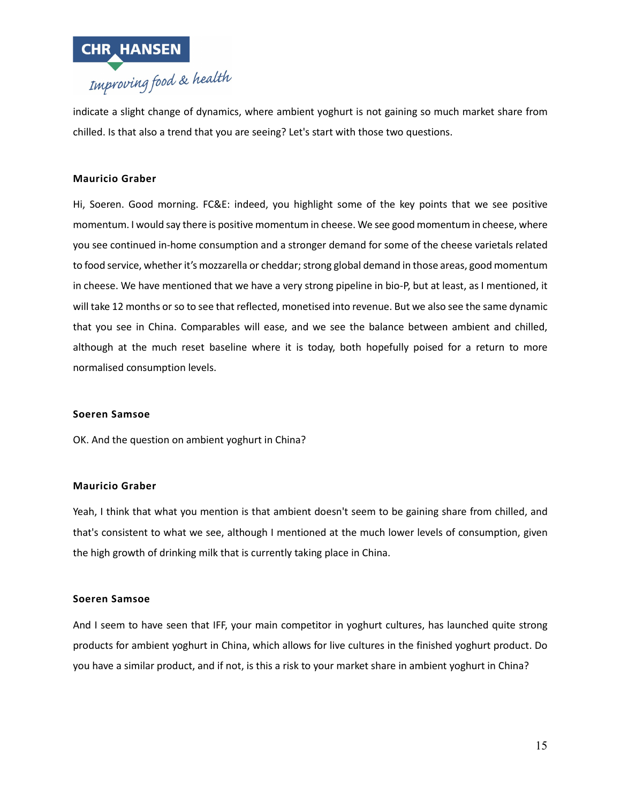

indicate a slight change of dynamics, where ambient yoghurt is not gaining so much market share from chilled. Is that also a trend that you are seeing? Let's start with those two questions.

# **Mauricio Graber**

Hi, Soeren. Good morning. FC&E: indeed, you highlight some of the key points that we see positive momentum. I would say there is positive momentum in cheese. We see good momentum in cheese, where you see continued in-home consumption and a stronger demand for some of the cheese varietals related to food service, whether it's mozzarella or cheddar; strong global demand in those areas, good momentum in cheese. We have mentioned that we have a very strong pipeline in bio-P, but at least, as I mentioned, it will take 12 months or so to see that reflected, monetised into revenue. But we also see the same dynamic that you see in China. Comparables will ease, and we see the balance between ambient and chilled, although at the much reset baseline where it is today, both hopefully poised for a return to more normalised consumption levels.

#### **Soeren Samsoe**

OK. And the question on ambient yoghurt in China?

#### **Mauricio Graber**

Yeah, I think that what you mention is that ambient doesn't seem to be gaining share from chilled, and that's consistent to what we see, although I mentioned at the much lower levels of consumption, given the high growth of drinking milk that is currently taking place in China.

#### **Soeren Samsoe**

And I seem to have seen that IFF, your main competitor in yoghurt cultures, has launched quite strong products for ambient yoghurt in China, which allows for live cultures in the finished yoghurt product. Do you have a similar product, and if not, is this a risk to your market share in ambient yoghurt in China?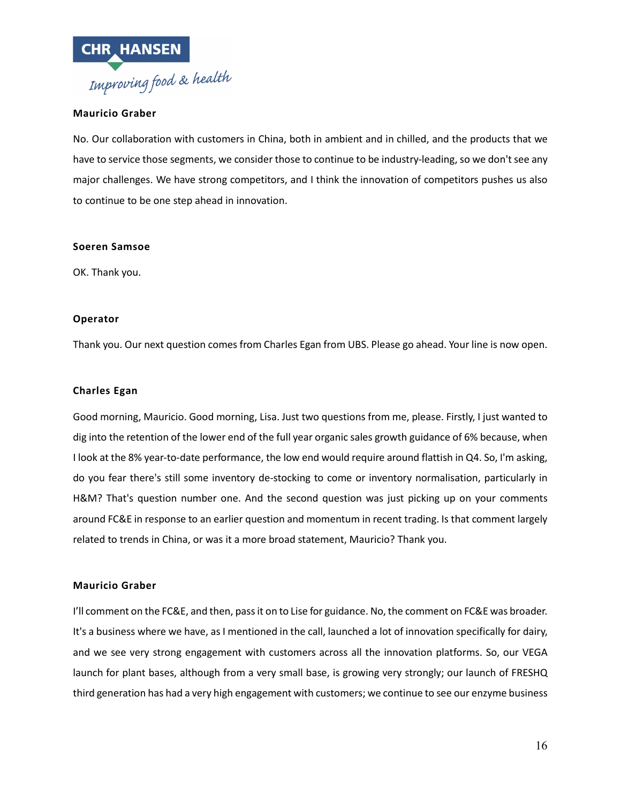

# **Mauricio Graber**

No. Our collaboration with customers in China, both in ambient and in chilled, and the products that we have to service those segments, we consider those to continue to be industry-leading, so we don't see any major challenges. We have strong competitors, and I think the innovation of competitors pushes us also to continue to be one step ahead in innovation.

#### **Soeren Samsoe**

OK. Thank you.

### **Operator**

Thank you. Our next question comes from Charles Egan from UBS. Please go ahead. Your line is now open.

#### **Charles Egan**

Good morning, Mauricio. Good morning, Lisa. Just two questions from me, please. Firstly, I just wanted to dig into the retention of the lower end of the full year organic sales growth guidance of 6% because, when I look at the 8% year-to-date performance, the low end would require around flattish in Q4. So, I'm asking, do you fear there's still some inventory de-stocking to come or inventory normalisation, particularly in H&M? That's question number one. And the second question was just picking up on your comments around FC&E in response to an earlier question and momentum in recent trading. Is that comment largely related to trends in China, or was it a more broad statement, Mauricio? Thank you.

#### **Mauricio Graber**

I'll comment on the FC&E, and then, pass it on to Lise for guidance. No, the comment on FC&E was broader. It's a business where we have, as I mentioned in the call, launched a lot of innovation specifically for dairy, and we see very strong engagement with customers across all the innovation platforms. So, our VEGA launch for plant bases, although from a very small base, is growing very strongly; our launch of FRESHQ third generation has had a very high engagement with customers; we continue to see our enzyme business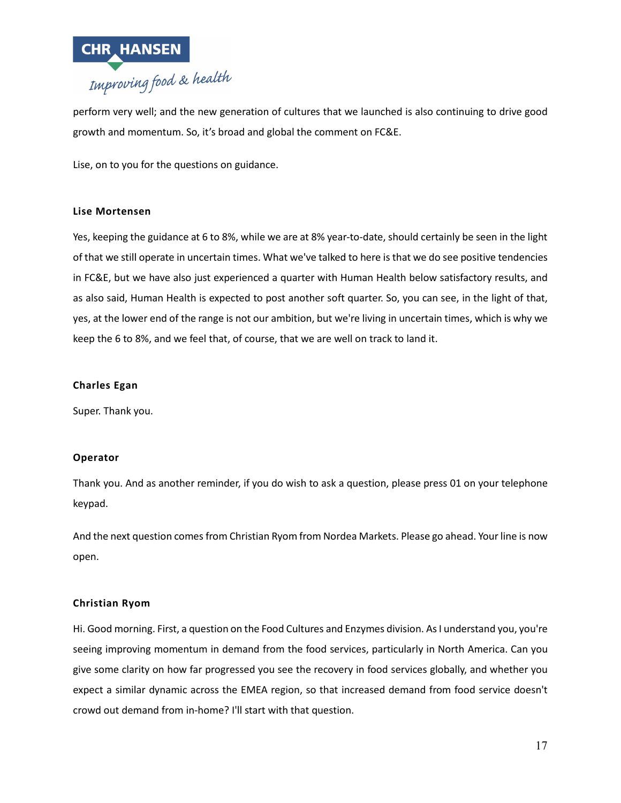

perform very well; and the new generation of cultures that we launched is also continuing to drive good growth and momentum. So, it's broad and global the comment on FC&E.

Lise, on to you for the questions on guidance.

# **Lise Mortensen**

Yes, keeping the guidance at 6 to 8%, while we are at 8% year-to-date, should certainly be seen in the light of that we still operate in uncertain times. What we've talked to here is that we do see positive tendencies in FC&E, but we have also just experienced a quarter with Human Health below satisfactory results, and as also said, Human Health is expected to post another soft quarter. So, you can see, in the light of that, yes, at the lower end of the range is not our ambition, but we're living in uncertain times, which is why we keep the 6 to 8%, and we feel that, of course, that we are well on track to land it.

# **Charles Egan**

Super. Thank you.

#### **Operator**

Thank you. And as another reminder, if you do wish to ask a question, please press 01 on your telephone keypad.

And the next question comes from Christian Ryom from Nordea Markets. Please go ahead. Your line is now open.

#### **Christian Ryom**

Hi. Good morning. First, a question on the Food Cultures and Enzymes division. As I understand you, you're seeing improving momentum in demand from the food services, particularly in North America. Can you give some clarity on how far progressed you see the recovery in food services globally, and whether you expect a similar dynamic across the EMEA region, so that increased demand from food service doesn't crowd out demand from in-home? I'll start with that question.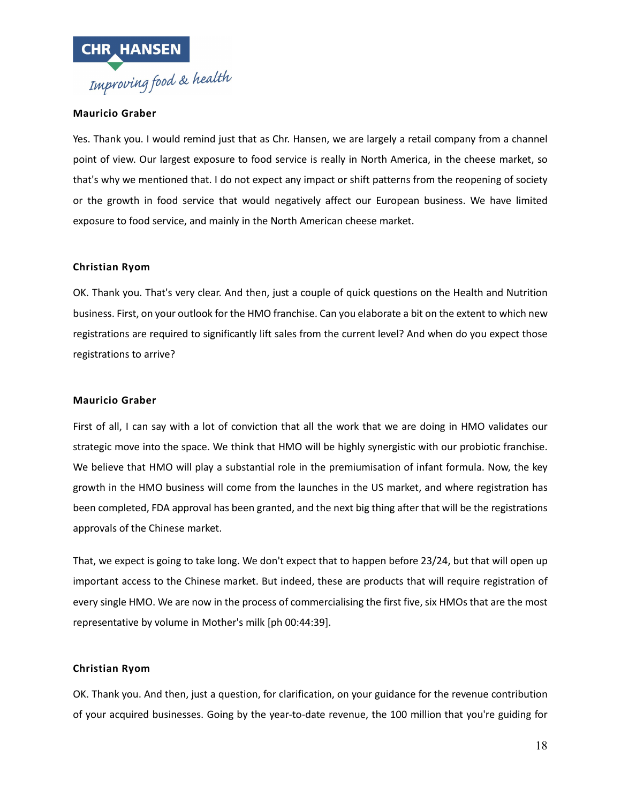

# **Mauricio Graber**

Yes. Thank you. I would remind just that as Chr. Hansen, we are largely a retail company from a channel point of view. Our largest exposure to food service is really in North America, in the cheese market, so that's why we mentioned that. I do not expect any impact or shift patterns from the reopening of society or the growth in food service that would negatively affect our European business. We have limited exposure to food service, and mainly in the North American cheese market.

# **Christian Ryom**

OK. Thank you. That's very clear. And then, just a couple of quick questions on the Health and Nutrition business. First, on your outlook for the HMO franchise. Can you elaborate a bit on the extent to which new registrations are required to significantly lift sales from the current level? And when do you expect those registrations to arrive?

### **Mauricio Graber**

First of all, I can say with a lot of conviction that all the work that we are doing in HMO validates our strategic move into the space. We think that HMO will be highly synergistic with our probiotic franchise. We believe that HMO will play a substantial role in the premiumisation of infant formula. Now, the key growth in the HMO business will come from the launches in the US market, and where registration has been completed, FDA approval has been granted, and the next big thing after that will be the registrations approvals of the Chinese market.

That, we expect is going to take long. We don't expect that to happen before 23/24, but that will open up important access to the Chinese market. But indeed, these are products that will require registration of every single HMO. We are now in the process of commercialising the first five, six HMOs that are the most representative by volume in Mother's milk [ph 00:44:39].

# **Christian Ryom**

OK. Thank you. And then, just a question, for clarification, on your guidance for the revenue contribution of your acquired businesses. Going by the year-to-date revenue, the 100 million that you're guiding for